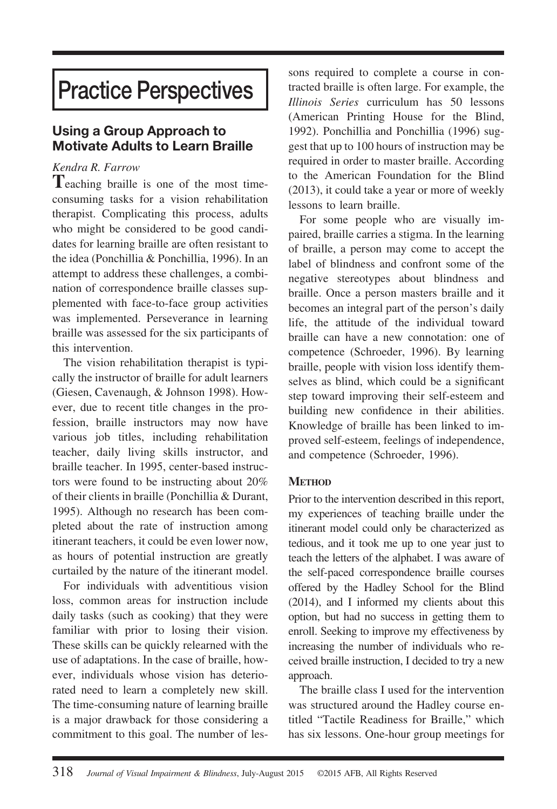# **Practice Perspectives**

## **Using a Group Approach to Motivate Adults to Learn Braille**

### *Kendra R. Farrow*

**T**eaching braille is one of the most timeconsuming tasks for a vision rehabilitation therapist. Complicating this process, adults who might be considered to be good candidates for learning braille are often resistant to the idea (Ponchillia & Ponchillia, 1996). In an attempt to address these challenges, a combination of correspondence braille classes supplemented with face-to-face group activities was implemented. Perseverance in learning braille was assessed for the six participants of this intervention.

The vision rehabilitation therapist is typically the instructor of braille for adult learners (Giesen, Cavenaugh, & Johnson 1998). However, due to recent title changes in the profession, braille instructors may now have various job titles, including rehabilitation teacher, daily living skills instructor, and braille teacher. In 1995, center-based instructors were found to be instructing about 20% of their clients in braille (Ponchillia & Durant, 1995). Although no research has been completed about the rate of instruction among itinerant teachers, it could be even lower now, as hours of potential instruction are greatly curtailed by the nature of the itinerant model.

For individuals with adventitious vision loss, common areas for instruction include daily tasks (such as cooking) that they were familiar with prior to losing their vision. These skills can be quickly relearned with the use of adaptations. In the case of braille, however, individuals whose vision has deteriorated need to learn a completely new skill. The time-consuming nature of learning braille is a major drawback for those considering a commitment to this goal. The number of lessons required to complete a course in contracted braille is often large. For example, the *Illinois Series* curriculum has 50 lessons (American Printing House for the Blind, 1992). Ponchillia and Ponchillia (1996) suggest that up to 100 hours of instruction may be required in order to master braille. According to the American Foundation for the Blind (2013), it could take a year or more of weekly lessons to learn braille.

For some people who are visually impaired, braille carries a stigma. In the learning of braille, a person may come to accept the label of blindness and confront some of the negative stereotypes about blindness and braille. Once a person masters braille and it becomes an integral part of the person's daily life, the attitude of the individual toward braille can have a new connotation: one of competence (Schroeder, 1996). By learning braille, people with vision loss identify themselves as blind, which could be a significant step toward improving their self-esteem and building new confidence in their abilities. Knowledge of braille has been linked to improved self-esteem, feelings of independence, and competence (Schroeder, 1996).

#### **METHOD**

Prior to the intervention described in this report, my experiences of teaching braille under the itinerant model could only be characterized as tedious, and it took me up to one year just to teach the letters of the alphabet. I was aware of the self-paced correspondence braille courses offered by the Hadley School for the Blind (2014), and I informed my clients about this option, but had no success in getting them to enroll. Seeking to improve my effectiveness by increasing the number of individuals who received braille instruction, I decided to try a new approach.

The braille class I used for the intervention was structured around the Hadley course entitled "Tactile Readiness for Braille," which has six lessons. One-hour group meetings for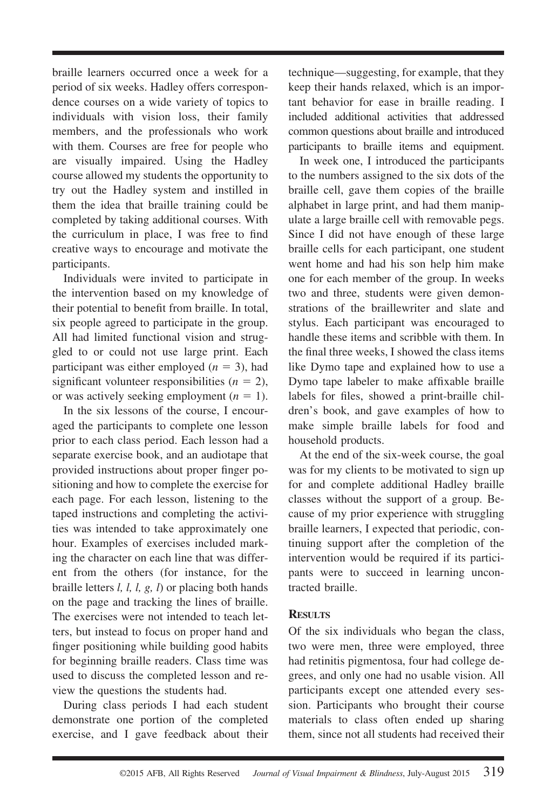braille learners occurred once a week for a period of six weeks. Hadley offers correspondence courses on a wide variety of topics to individuals with vision loss, their family members, and the professionals who work with them. Courses are free for people who are visually impaired. Using the Hadley course allowed my students the opportunity to try out the Hadley system and instilled in them the idea that braille training could be completed by taking additional courses. With the curriculum in place, I was free to find creative ways to encourage and motivate the participants.

Individuals were invited to participate in the intervention based on my knowledge of their potential to benefit from braille. In total, six people agreed to participate in the group. All had limited functional vision and struggled to or could not use large print. Each participant was either employed  $(n = 3)$ , had significant volunteer responsibilities  $(n = 2)$ , or was actively seeking employment  $(n = 1)$ .

In the six lessons of the course, I encouraged the participants to complete one lesson prior to each class period. Each lesson had a separate exercise book, and an audiotape that provided instructions about proper finger positioning and how to complete the exercise for each page. For each lesson, listening to the taped instructions and completing the activities was intended to take approximately one hour. Examples of exercises included marking the character on each line that was different from the others (for instance, for the braille letters *l, l, l, g, l*) or placing both hands on the page and tracking the lines of braille. The exercises were not intended to teach letters, but instead to focus on proper hand and finger positioning while building good habits for beginning braille readers. Class time was used to discuss the completed lesson and review the questions the students had.

During class periods I had each student demonstrate one portion of the completed exercise, and I gave feedback about their technique—suggesting, for example, that they keep their hands relaxed, which is an important behavior for ease in braille reading. I included additional activities that addressed common questions about braille and introduced participants to braille items and equipment.

In week one, I introduced the participants to the numbers assigned to the six dots of the braille cell, gave them copies of the braille alphabet in large print, and had them manipulate a large braille cell with removable pegs. Since I did not have enough of these large braille cells for each participant, one student went home and had his son help him make one for each member of the group. In weeks two and three, students were given demonstrations of the braillewriter and slate and stylus. Each participant was encouraged to handle these items and scribble with them. In the final three weeks, I showed the class items like Dymo tape and explained how to use a Dymo tape labeler to make affixable braille labels for files, showed a print-braille children's book, and gave examples of how to make simple braille labels for food and household products.

At the end of the six-week course, the goal was for my clients to be motivated to sign up for and complete additional Hadley braille classes without the support of a group. Because of my prior experience with struggling braille learners, I expected that periodic, continuing support after the completion of the intervention would be required if its participants were to succeed in learning uncontracted braille.

#### **RESULTS**

Of the six individuals who began the class, two were men, three were employed, three had retinitis pigmentosa, four had college degrees, and only one had no usable vision. All participants except one attended every session. Participants who brought their course materials to class often ended up sharing them, since not all students had received their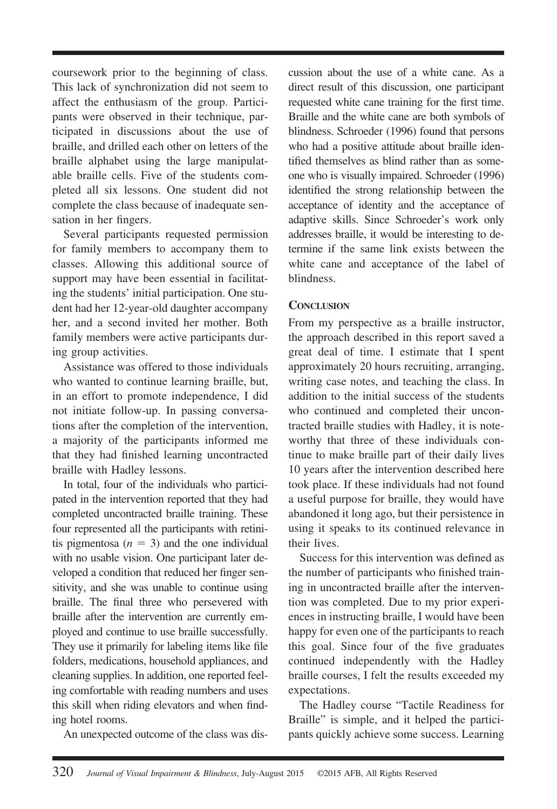coursework prior to the beginning of class. This lack of synchronization did not seem to affect the enthusiasm of the group. Participants were observed in their technique, participated in discussions about the use of braille, and drilled each other on letters of the braille alphabet using the large manipulatable braille cells. Five of the students completed all six lessons. One student did not complete the class because of inadequate sensation in her fingers.

Several participants requested permission for family members to accompany them to classes. Allowing this additional source of support may have been essential in facilitating the students' initial participation. One student had her 12-year-old daughter accompany her, and a second invited her mother. Both family members were active participants during group activities.

Assistance was offered to those individuals who wanted to continue learning braille, but, in an effort to promote independence, I did not initiate follow-up. In passing conversations after the completion of the intervention, a majority of the participants informed me that they had finished learning uncontracted braille with Hadley lessons.

In total, four of the individuals who participated in the intervention reported that they had completed uncontracted braille training. These four represented all the participants with retinitis pigmentosa  $(n = 3)$  and the one individual with no usable vision. One participant later developed a condition that reduced her finger sensitivity, and she was unable to continue using braille. The final three who persevered with braille after the intervention are currently employed and continue to use braille successfully. They use it primarily for labeling items like file folders, medications, household appliances, and cleaning supplies. In addition, one reported feeling comfortable with reading numbers and uses this skill when riding elevators and when finding hotel rooms.

An unexpected outcome of the class was dis-

cussion about the use of a white cane. As a direct result of this discussion, one participant requested white cane training for the first time. Braille and the white cane are both symbols of blindness. Schroeder (1996) found that persons who had a positive attitude about braille identified themselves as blind rather than as someone who is visually impaired. Schroeder (1996) identified the strong relationship between the acceptance of identity and the acceptance of adaptive skills. Since Schroeder's work only addresses braille, it would be interesting to determine if the same link exists between the white cane and acceptance of the label of blindness.

#### **CONCLUSION**

From my perspective as a braille instructor, the approach described in this report saved a great deal of time. I estimate that I spent approximately 20 hours recruiting, arranging, writing case notes, and teaching the class. In addition to the initial success of the students who continued and completed their uncontracted braille studies with Hadley, it is noteworthy that three of these individuals continue to make braille part of their daily lives 10 years after the intervention described here took place. If these individuals had not found a useful purpose for braille, they would have abandoned it long ago, but their persistence in using it speaks to its continued relevance in their lives.

Success for this intervention was defined as the number of participants who finished training in uncontracted braille after the intervention was completed. Due to my prior experiences in instructing braille, I would have been happy for even one of the participants to reach this goal. Since four of the five graduates continued independently with the Hadley braille courses, I felt the results exceeded my expectations.

The Hadley course "Tactile Readiness for Braille" is simple, and it helped the participants quickly achieve some success. Learning